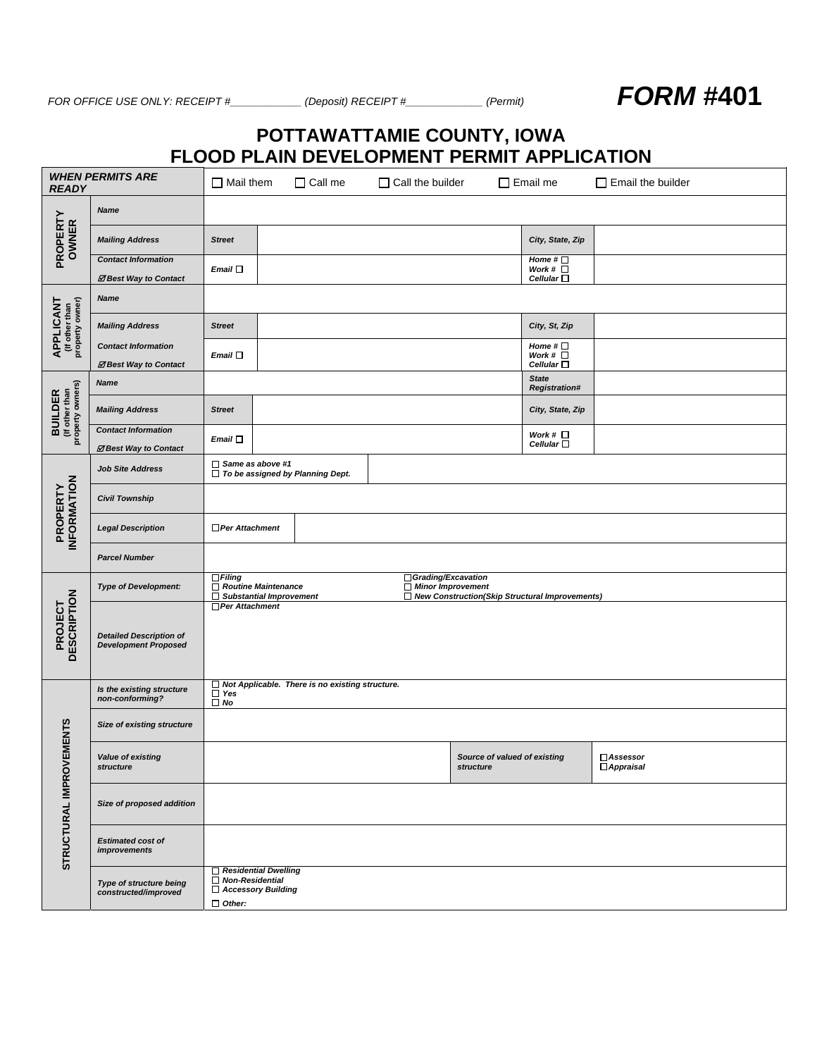*FOR OFFICE USE ONLY: RECEIPT #\_\_\_\_\_\_\_\_\_\_\_\_ (Deposit) RECEIPT #\_\_\_\_\_\_\_\_\_\_\_\_\_ (Permit) FORM #***401** 

# **POTTAWATTAMIE COUNTY, IOWA FLOOD PLAIN DEVELOPMENT PERMIT APPLICATION**

| <b>READY</b>                                         | <b>WHEN PERMITS ARE</b>                                       | $\Box$ Mail them                                                                               | $\Box$ Call me                                    |  | $\Box$ Call the builder                                                                            |                              | $\Box$ Email me                                            | $\Box$ Email the builder                 |
|------------------------------------------------------|---------------------------------------------------------------|------------------------------------------------------------------------------------------------|---------------------------------------------------|--|----------------------------------------------------------------------------------------------------|------------------------------|------------------------------------------------------------|------------------------------------------|
|                                                      | <b>Name</b>                                                   |                                                                                                |                                                   |  |                                                                                                    |                              |                                                            |                                          |
| <b>PROPERTY</b><br>OWNER                             | <b>Mailing Address</b>                                        | <b>Street</b>                                                                                  |                                                   |  |                                                                                                    |                              | City, State, Zip                                           |                                          |
|                                                      | <b>Contact Information</b><br>⊠ Best Way to Contact           | $E$ mail $\Box$                                                                                |                                                   |  |                                                                                                    |                              | Home # $\square$<br>Work # $\square$<br>Cellular $\square$ |                                          |
|                                                      | <b>Name</b>                                                   |                                                                                                |                                                   |  |                                                                                                    |                              |                                                            |                                          |
|                                                      | <b>Mailing Address</b>                                        | <b>Street</b>                                                                                  |                                                   |  |                                                                                                    |                              | City, St, Zip                                              |                                          |
| APPLICANT<br>(If other than<br>property owner)       | <b>Contact Information</b><br>⊠ Best Way to Contact           | Email $\square$                                                                                |                                                   |  |                                                                                                    |                              | Home # $\square$<br>Work # $\square$<br>Cellular $\square$ |                                          |
|                                                      | <b>Name</b>                                                   |                                                                                                |                                                   |  |                                                                                                    |                              | <b>State</b><br><b>Registration#</b>                       |                                          |
| <b>BUILDER</b><br>(If other than<br>property owners) | <b>Mailing Address</b>                                        | <b>Street</b>                                                                                  |                                                   |  |                                                                                                    |                              | City, State, Zip                                           |                                          |
|                                                      | <b>Contact Information</b><br>⊠ Best Way to Contact           | $E$ mail $\square$                                                                             |                                                   |  |                                                                                                    |                              | Work # $\square$<br>Cellular $\square$                     |                                          |
|                                                      | <b>Job Site Address</b>                                       | $\Box$ Same as above #1<br>$\Box$ To be assigned by Planning Dept.                             |                                                   |  |                                                                                                    |                              |                                                            |                                          |
| <b>PROPERTY</b><br>INFORMATION                       | <b>Civil Township</b>                                         |                                                                                                |                                                   |  |                                                                                                    |                              |                                                            |                                          |
|                                                      | <b>Legal Description</b>                                      | $\Box$ Per Attachment                                                                          |                                                   |  |                                                                                                    |                              |                                                            |                                          |
|                                                      | <b>Parcel Number</b>                                          |                                                                                                |                                                   |  |                                                                                                    |                              |                                                            |                                          |
|                                                      | <b>Type of Development:</b>                                   | $\Box$ Filing<br>$\Box$ Routine Maintenance<br>$\Box$ Substantial Improvement                  |                                                   |  | □ Grading/Excavation<br>Minor Improvement<br>$\Box$ New Construction(Skip Structural Improvements) |                              |                                                            |                                          |
| PROJECT<br>DESCRIPTION                               | <b>Detailed Description of</b><br><b>Development Proposed</b> | $\Box$ Per Attachment                                                                          |                                                   |  |                                                                                                    |                              |                                                            |                                          |
|                                                      | Is the existing structure<br>non-conforming?                  | $\Box$ Yes<br>$\overline{\Box}$ No                                                             | □ Not Applicable. There is no existing structure. |  |                                                                                                    |                              |                                                            |                                          |
|                                                      | Size of existing structure                                    |                                                                                                |                                                   |  |                                                                                                    |                              |                                                            |                                          |
| STRUCTURAL IMPROVEMENTS                              | Value of existing<br>structure                                |                                                                                                |                                                   |  | structure                                                                                          | Source of valued of existing |                                                            | □Assessor<br>$\overline{\Box}$ Appraisal |
|                                                      | Size of proposed addition                                     |                                                                                                |                                                   |  |                                                                                                    |                              |                                                            |                                          |
|                                                      | <b>Estimated cost of</b><br><i>improvements</i>               |                                                                                                |                                                   |  |                                                                                                    |                              |                                                            |                                          |
|                                                      | Type of structure being<br>constructed/improved               | $\Box$ Residential Dwelling<br>□ Non-Residential<br>$\Box$ Accessory Building<br>$\Box$ Other: |                                                   |  |                                                                                                    |                              |                                                            |                                          |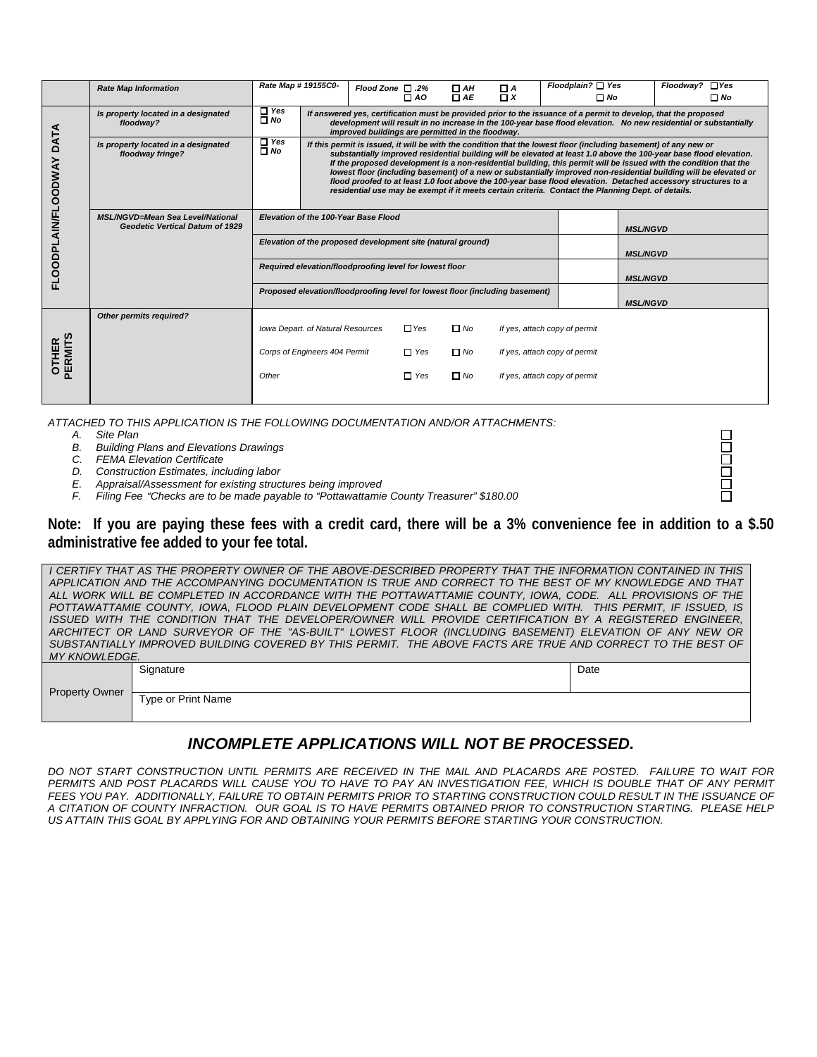|                                                                                                                    | <b>Rate Map Information</b>                             | Rate Map # 19155C0-                                                            | Flood Zone $\square$ .2%                                                                                                                                                                                                                                                                                                                                                                                                                                                                                                                                                                                                                                                                                 |                                                   | $\Box$ AH              | $\Box$ A        | Floodplain? $\Box$ Yes                                                                                          |                 | $Floodway? \Box Yes$                                                                                             |
|--------------------------------------------------------------------------------------------------------------------|---------------------------------------------------------|--------------------------------------------------------------------------------|----------------------------------------------------------------------------------------------------------------------------------------------------------------------------------------------------------------------------------------------------------------------------------------------------------------------------------------------------------------------------------------------------------------------------------------------------------------------------------------------------------------------------------------------------------------------------------------------------------------------------------------------------------------------------------------------------------|---------------------------------------------------|------------------------|-----------------|-----------------------------------------------------------------------------------------------------------------|-----------------|------------------------------------------------------------------------------------------------------------------|
|                                                                                                                    |                                                         |                                                                                |                                                                                                                                                                                                                                                                                                                                                                                                                                                                                                                                                                                                                                                                                                          | $\Box$ AO                                         | $\Box$ AE              | $\Box$ $X$      | $\Box$ No                                                                                                       |                 | $\Box$ No                                                                                                        |
|                                                                                                                    | Is property located in a designated<br>floodway?        | $\Box$ Yes<br>$\Box$ No                                                        |                                                                                                                                                                                                                                                                                                                                                                                                                                                                                                                                                                                                                                                                                                          | improved buildings are permitted in the floodway. |                        |                 | If answered yes, certification must be provided prior to the issuance of a permit to develop, that the proposed |                 | development will result in no increase in the 100-year base flood elevation. No new residential or substantially |
| DATA<br><b>LOODPLAIN/FLOODWAY</b>                                                                                  | Is property located in a designated<br>floodway fringe? | $\Box$ Yes<br>$\Box$ No                                                        | If this permit is issued, it will be with the condition that the lowest floor (including basement) of any new or<br>substantially improved residential building will be elevated at least 1.0 above the 100-year base flood elevation.<br>If the proposed development is a non-residential building, this permit will be issued with the condition that the<br>lowest floor (including basement) of a new or substantially improved non-residential building will be elevated or<br>flood proofed to at least 1.0 foot above the 100-year base flood elevation. Detached accessory structures to a<br>residential use may be exempt if it meets certain criteria. Contact the Planning Dept. of details. |                                                   |                        |                 |                                                                                                                 |                 |                                                                                                                  |
| <b>MSL/NGVD=Mean Sea Level/National</b><br>Elevation of the 100-Year Base Flood<br>Geodetic Vertical Datum of 1929 |                                                         |                                                                                |                                                                                                                                                                                                                                                                                                                                                                                                                                                                                                                                                                                                                                                                                                          |                                                   |                        | <b>MSL/NGVD</b> |                                                                                                                 |                 |                                                                                                                  |
|                                                                                                                    |                                                         | Elevation of the proposed development site (natural ground)<br><b>MSL/NGVD</b> |                                                                                                                                                                                                                                                                                                                                                                                                                                                                                                                                                                                                                                                                                                          |                                                   |                        |                 |                                                                                                                 |                 |                                                                                                                  |
|                                                                                                                    |                                                         | Required elevation/floodproofing level for lowest floor<br><b>MSL/NGVD</b>     |                                                                                                                                                                                                                                                                                                                                                                                                                                                                                                                                                                                                                                                                                                          |                                                   |                        |                 |                                                                                                                 |                 |                                                                                                                  |
|                                                                                                                    |                                                         | Proposed elevation/floodproofing level for lowest floor (including basement)   |                                                                                                                                                                                                                                                                                                                                                                                                                                                                                                                                                                                                                                                                                                          |                                                   |                        |                 |                                                                                                                 | <b>MSL/NGVD</b> |                                                                                                                  |
| PERMITS<br><b>OTHER</b>                                                                                            | <b>Other permits required?</b>                          | Iowa Depart. of Natural Resources<br>Corps of Engineers 404 Permit             |                                                                                                                                                                                                                                                                                                                                                                                                                                                                                                                                                                                                                                                                                                          | $\Box$ Yes<br>$\Box$ Yes                          | $\Box$ No<br>$\Box$ No |                 | If yes, attach copy of permit<br>If yes, attach copy of permit                                                  |                 |                                                                                                                  |
|                                                                                                                    |                                                         | Other                                                                          |                                                                                                                                                                                                                                                                                                                                                                                                                                                                                                                                                                                                                                                                                                          | $\Box$ Yes                                        | $\Box$ No              |                 | If yes, attach copy of permit                                                                                   |                 |                                                                                                                  |

*ATTACHED TO THIS APPLICATION IS THE FOLLOWING DOCUMENTATION AND/OR ATTACHMENTS:* 

- *A. Site Plan*
- *B. Building Plans and Elevations Drawings*
- *C. FEMA Elevation Certificate*
- *D. Construction Estimates, including labor*
- *E. Appraisal/Assessment for existing structures being improved*
- *F. Filing Fee "Checks are to be made payable to "Pottawattamie County Treasurer" \$180.00*

**Note: If you are paying these fees with a credit card, there will be a 3% convenience fee in addition to a \$.50 administrative fee added to your fee total.**

*I CERTIFY THAT AS THE PROPERTY OWNER OF THE ABOVE-DESCRIBED PROPERTY THAT THE INFORMATION CONTAINED IN THIS APPLICATION AND THE ACCOMPANYING DOCUMENTATION IS TRUE AND CORRECT TO THE BEST OF MY KNOWLEDGE AND THAT ALL WORK WILL BE COMPLETED IN ACCORDANCE WITH THE POTTAWATTAMIE COUNTY, IOWA, CODE. ALL PROVISIONS OF THE POTTAWATTAMIE COUNTY, IOWA, FLOOD PLAIN DEVELOPMENT CODE SHALL BE COMPLIED WITH. THIS PERMIT, IF ISSUED, IS ISSUED WITH THE CONDITION THAT THE DEVELOPER/OWNER WILL PROVIDE CERTIFICATION BY A REGISTERED ENGINEER, ARCHITECT OR LAND SURVEYOR OF THE "AS-BUILT" LOWEST FLOOR (INCLUDING BASEMENT) ELEVATION OF ANY NEW OR SUBSTANTIALLY IMPROVED BUILDING COVERED BY THIS PERMIT. THE ABOVE FACTS ARE TRUE AND CORRECT TO THE BEST OF MY KNOWLEDGE.* 

|                | Signature          | Date |
|----------------|--------------------|------|
|                |                    |      |
| Property Owner | Type or Print Name |      |
|                |                    |      |

## *INCOMPLETE APPLICATIONS WILL NOT BE PROCESSED.*

*DO NOT START CONSTRUCTION UNTIL PERMITS ARE RECEIVED IN THE MAIL AND PLACARDS ARE POSTED. FAILURE TO WAIT FOR PERMITS AND POST PLACARDS WILL CAUSE YOU TO HAVE TO PAY AN INVESTIGATION FEE, WHICH IS DOUBLE THAT OF ANY PERMIT FEES YOU PAY. ADDITIONALLY, FAILURE TO OBTAIN PERMITS PRIOR TO STARTING CONSTRUCTION COULD RESULT IN THE ISSUANCE OF A CITATION OF COUNTY INFRACTION. OUR GOAL IS TO HAVE PERMITS OBTAINED PRIOR TO CONSTRUCTION STARTING. PLEASE HELP US ATTAIN THIS GOAL BY APPLYING FOR AND OBTAINING YOUR PERMITS BEFORE STARTING YOUR CONSTRUCTION.* 

10000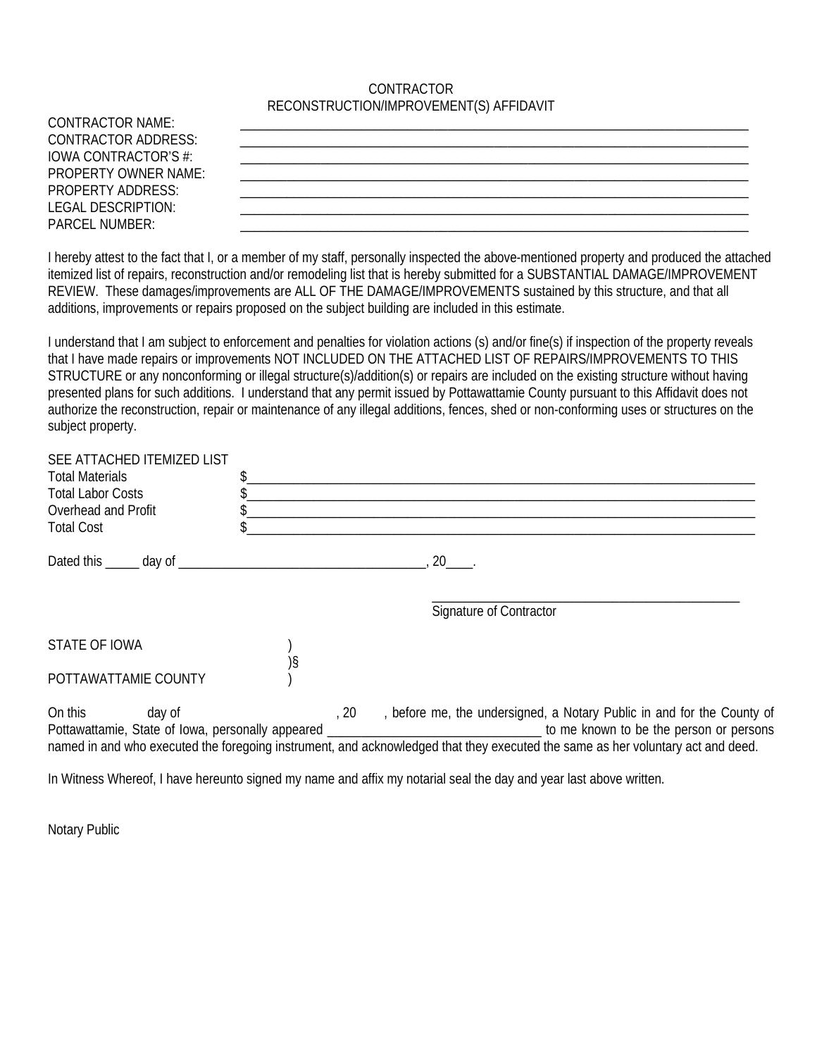### CONTRACTOR RECONSTRUCTION/IMPROVEMENT(S) AFFIDAVIT

| <b>CONTRACTOR NAME:</b>     |
|-----------------------------|
| <b>CONTRACTOR ADDRESS:</b>  |
| <b>IOWA CONTRACTOR'S #:</b> |
| <b>PROPERTY OWNER NAME:</b> |
| PROPERTY ADDRESS:           |
| <b>LEGAL DESCRIPTION:</b>   |
| <b>PARCEL NUMBER:</b>       |

| CONTRACTOR NAME:     |  |  |
|----------------------|--|--|
| CONTRACTOR ADDRESS:  |  |  |
| IOWA CONTRACTOR'S #: |  |  |
| PROPERTY OWNER NAME: |  |  |
| PROPERTY ADDRESS:    |  |  |
| LEGAL DESCRIPTION: I |  |  |
| PARCEL NUMBER:       |  |  |

I hereby attest to the fact that I, or a member of my staff, personally inspected the above-mentioned property and produced the attached itemized list of repairs, reconstruction and/or remodeling list that is hereby submitted for a SUBSTANTIAL DAMAGE/IMPROVEMENT REVIEW. These damages/improvements are ALL OF THE DAMAGE/IMPROVEMENTS sustained by this structure, and that all additions, improvements or repairs proposed on the subject building are included in this estimate.

I understand that I am subject to enforcement and penalties for violation actions (s) and/or fine(s) if inspection of the property reveals that I have made repairs or improvements NOT INCLUDED ON THE ATTACHED LIST OF REPAIRS/IMPROVEMENTS TO THIS STRUCTURE or any nonconforming or illegal structure(s)/addition(s) or repairs are included on the existing structure without having presented plans for such additions. I understand that any permit issued by Pottawattamie County pursuant to this Affidavit does not authorize the reconstruction, repair or maintenance of any illegal additions, fences, shed or non-conforming uses or structures on the subject property.

| SEE ATTACHED ITEMIZED LIST |     |                                                                                                                                 |
|----------------------------|-----|---------------------------------------------------------------------------------------------------------------------------------|
| <b>Total Materials</b>     |     |                                                                                                                                 |
| <b>Total Labor Costs</b>   |     |                                                                                                                                 |
| Overhead and Profit        |     |                                                                                                                                 |
| <b>Total Cost</b>          |     |                                                                                                                                 |
|                            |     | 20                                                                                                                              |
|                            |     |                                                                                                                                 |
|                            |     | Signature of Contractor                                                                                                         |
| STATE OF IOWA              |     |                                                                                                                                 |
|                            |     |                                                                                                                                 |
| POTTAWATTAMIE COUNTY       |     |                                                                                                                                 |
| On this<br>day of          | .20 | before me, the undersigned, a Notary Public in and for the County of                                                            |
|                            |     | Pottawattamie, State of Iowa, personally appeared entertainment to me known to be the person or persons                         |
|                            |     | named in and who executed the foregoing instrument, and acknowledged that they executed the same as her voluntary act and deed. |

In Witness Whereof, I have hereunto signed my name and affix my notarial seal the day and year last above written.

Notary Public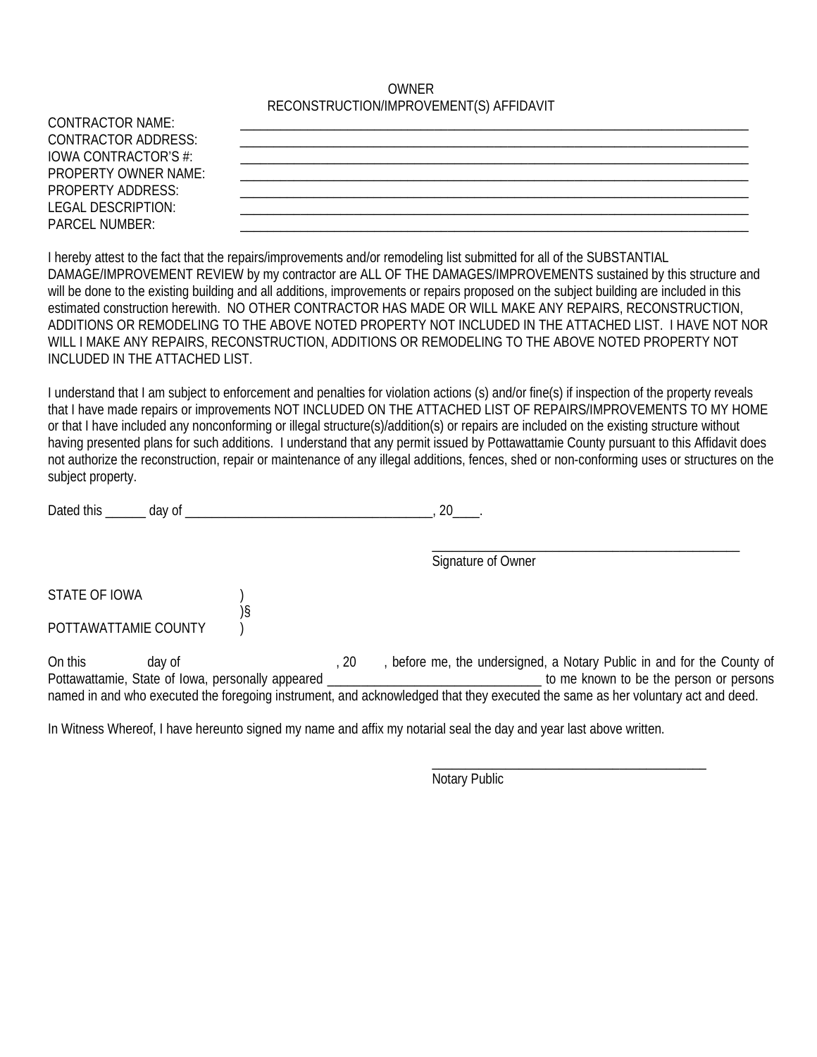# OWNER RECONSTRUCTION/IMPROVEMENT(S) AFFIDAVIT

| <b>CONTRACTOR NAME:</b><br><b>CONTRACTOR ADDRESS:</b><br>IOWA CONTRACTOR'S #:<br><b>PROPERTY OWNER NAME:</b><br><b>PROPERTY ADDRESS:</b><br><b>LEGAL DESCRIPTION:</b><br><b>PARCEL NUMBER:</b> |       |                                                                                                                                                                                                                                                                                                                                                                                                                                                                                                                                                                                                                                                                                                           |
|------------------------------------------------------------------------------------------------------------------------------------------------------------------------------------------------|-------|-----------------------------------------------------------------------------------------------------------------------------------------------------------------------------------------------------------------------------------------------------------------------------------------------------------------------------------------------------------------------------------------------------------------------------------------------------------------------------------------------------------------------------------------------------------------------------------------------------------------------------------------------------------------------------------------------------------|
| INCLUDED IN THE ATTACHED LIST.                                                                                                                                                                 |       | I hereby attest to the fact that the repairs/improvements and/or remodeling list submitted for all of the SUBSTANTIAL<br>DAMAGE/IMPROVEMENT REVIEW by my contractor are ALL OF THE DAMAGES/IMPROVEMENTS sustained by this structure and<br>will be done to the existing building and all additions, improvements or repairs proposed on the subject building are included in this<br>estimated construction herewith. NO OTHER CONTRACTOR HAS MADE OR WILL MAKE ANY REPAIRS, RECONSTRUCTION,<br>ADDITIONS OR REMODELING TO THE ABOVE NOTED PROPERTY NOT INCLUDED IN THE ATTACHED LIST. I HAVE NOT NOR<br>WILL I MAKE ANY REPAIRS, RECONSTRUCTION, ADDITIONS OR REMODELING TO THE ABOVE NOTED PROPERTY NOT |
| subject property.                                                                                                                                                                              |       | I understand that I am subject to enforcement and penalties for violation actions (s) and/or fine(s) if inspection of the property reveals<br>that I have made repairs or improvements NOT INCLUDED ON THE ATTACHED LIST OF REPAIRS/IMPROVEMENTS TO MY HOME<br>or that I have included any nonconforming or illegal structure(s)/addition(s) or repairs are included on the existing structure without<br>having presented plans for such additions. I understand that any permit issued by Pottawattamie County pursuant to this Affidavit does<br>not authorize the reconstruction, repair or maintenance of any illegal additions, fences, shed or non-conforming uses or structures on the            |
|                                                                                                                                                                                                |       |                                                                                                                                                                                                                                                                                                                                                                                                                                                                                                                                                                                                                                                                                                           |
|                                                                                                                                                                                                |       | Signature of Owner                                                                                                                                                                                                                                                                                                                                                                                                                                                                                                                                                                                                                                                                                        |
| STATE OF IOWA<br>POTTAWATTAMIE COUNTY                                                                                                                                                          | $)$ § |                                                                                                                                                                                                                                                                                                                                                                                                                                                                                                                                                                                                                                                                                                           |
| On this<br>day of<br>Pottawattamie, State of Iowa, personally appeared _                                                                                                                       | , 20  | , before me, the undersigned, a Notary Public in and for the County of<br><u>________________________________</u> to me known to be the person or persons<br>named in and who executed the foregoing instrument, and acknowledged that they executed the same as her voluntary act and deed.                                                                                                                                                                                                                                                                                                                                                                                                              |
|                                                                                                                                                                                                |       | In Witness Whereof, I have hereunto signed my name and affix my notarial seal the day and year last above written.                                                                                                                                                                                                                                                                                                                                                                                                                                                                                                                                                                                        |

Notary Public

 $\overline{\phantom{a}}$  , which is a set of the set of the set of the set of the set of the set of the set of the set of the set of the set of the set of the set of the set of the set of the set of the set of the set of the set of th